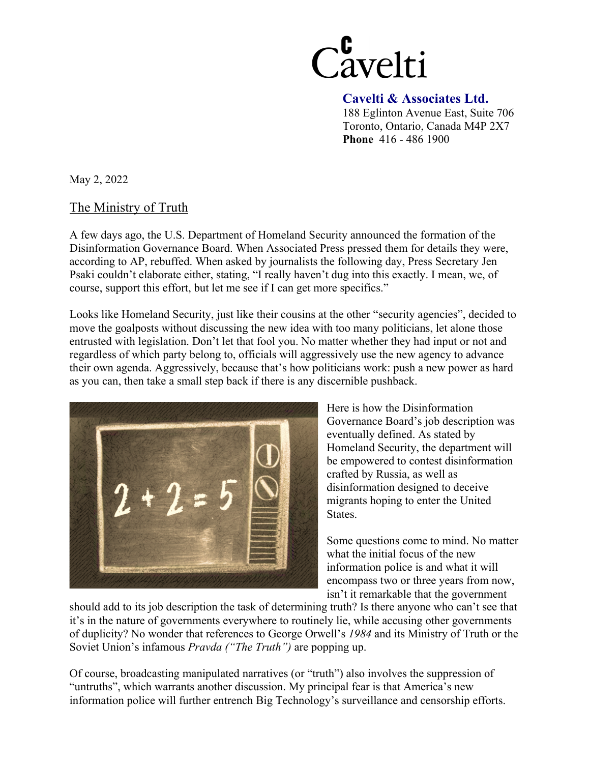

 **Cavelti & Associates Ltd.**  188 Eglinton Avenue East, Suite 706 Toronto, Ontario, Canada M4P 2X7 **Phone** 416 - 486 1900

May 2, 2022

## The Ministry of Truth

A few days ago, the U.S. Department of Homeland Security announced the formation of the Disinformation Governance Board. When Associated Press pressed them for details they were, according to AP, rebuffed. When asked by journalists the following day, Press Secretary Jen Psaki couldn't elaborate either, stating, "I really haven't dug into this exactly. I mean, we, of course, support this effort, but let me see if I can get more specifics."

Looks like Homeland Security, just like their cousins at the other "security agencies", decided to move the goalposts without discussing the new idea with too many politicians, let alone those entrusted with legislation. Don't let that fool you. No matter whether they had input or not and regardless of which party belong to, officials will aggressively use the new agency to advance their own agenda. Aggressively, because that's how politicians work: push a new power as hard as you can, then take a small step back if there is any discernible pushback.



Here is how the Disinformation Governance Board's job description was eventually defined. As stated by Homeland Security, the department will be empowered to contest disinformation crafted by Russia, as well as disinformation designed to deceive migrants hoping to enter the United States.

Some questions come to mind. No matter what the initial focus of the new information police is and what it will encompass two or three years from now, isn't it remarkable that the government

should add to its job description the task of determining truth? Is there anyone who can't see that it's in the nature of governments everywhere to routinely lie, while accusing other governments of duplicity? No wonder that references to George Orwell's *1984* and its Ministry of Truth or the Soviet Union's infamous *Pravda ("The Truth")* are popping up.

Of course, broadcasting manipulated narratives (or "truth") also involves the suppression of "untruths", which warrants another discussion. My principal fear is that America's new information police will further entrench Big Technology's surveillance and censorship efforts.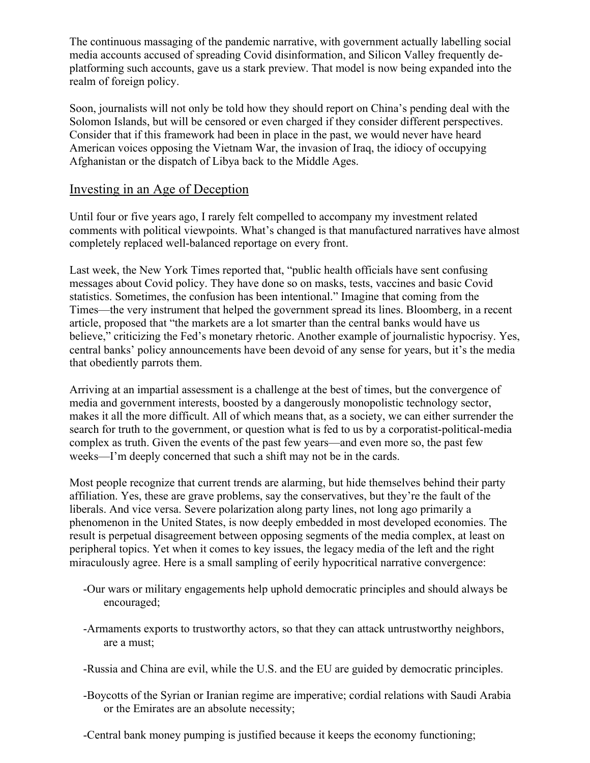The continuous massaging of the pandemic narrative, with government actually labelling social media accounts accused of spreading Covid disinformation, and Silicon Valley frequently deplatforming such accounts, gave us a stark preview. That model is now being expanded into the realm of foreign policy.

Soon, journalists will not only be told how they should report on China's pending deal with the Solomon Islands, but will be censored or even charged if they consider different perspectives. Consider that if this framework had been in place in the past, we would never have heard American voices opposing the Vietnam War, the invasion of Iraq, the idiocy of occupying Afghanistan or the dispatch of Libya back to the Middle Ages.

### Investing in an Age of Deception

Until four or five years ago, I rarely felt compelled to accompany my investment related comments with political viewpoints. What's changed is that manufactured narratives have almost completely replaced well-balanced reportage on every front.

Last week, the New York Times reported that, "public health officials have sent confusing messages about Covid policy. They have done so on masks, tests, vaccines and basic Covid statistics. Sometimes, the confusion has been intentional." Imagine that coming from the Times—the very instrument that helped the government spread its lines. Bloomberg, in a recent article, proposed that "the markets are a lot smarter than the central banks would have us believe," criticizing the Fed's monetary rhetoric. Another example of journalistic hypocrisy. Yes, central banks' policy announcements have been devoid of any sense for years, but it's the media that obediently parrots them.

Arriving at an impartial assessment is a challenge at the best of times, but the convergence of media and government interests, boosted by a dangerously monopolistic technology sector, makes it all the more difficult. All of which means that, as a society, we can either surrender the search for truth to the government, or question what is fed to us by a corporatist-political-media complex as truth. Given the events of the past few years—and even more so, the past few weeks—I'm deeply concerned that such a shift may not be in the cards.

Most people recognize that current trends are alarming, but hide themselves behind their party affiliation. Yes, these are grave problems, say the conservatives, but they're the fault of the liberals. And vice versa. Severe polarization along party lines, not long ago primarily a phenomenon in the United States, is now deeply embedded in most developed economies. The result is perpetual disagreement between opposing segments of the media complex, at least on peripheral topics. Yet when it comes to key issues, the legacy media of the left and the right miraculously agree. Here is a small sampling of eerily hypocritical narrative convergence:

- -Our wars or military engagements help uphold democratic principles and should always be encouraged;
- -Armaments exports to trustworthy actors, so that they can attack untrustworthy neighbors, are a must;
- -Russia and China are evil, while the U.S. and the EU are guided by democratic principles.
- -Boycotts of the Syrian or Iranian regime are imperative; cordial relations with Saudi Arabia or the Emirates are an absolute necessity;
- -Central bank money pumping is justified because it keeps the economy functioning;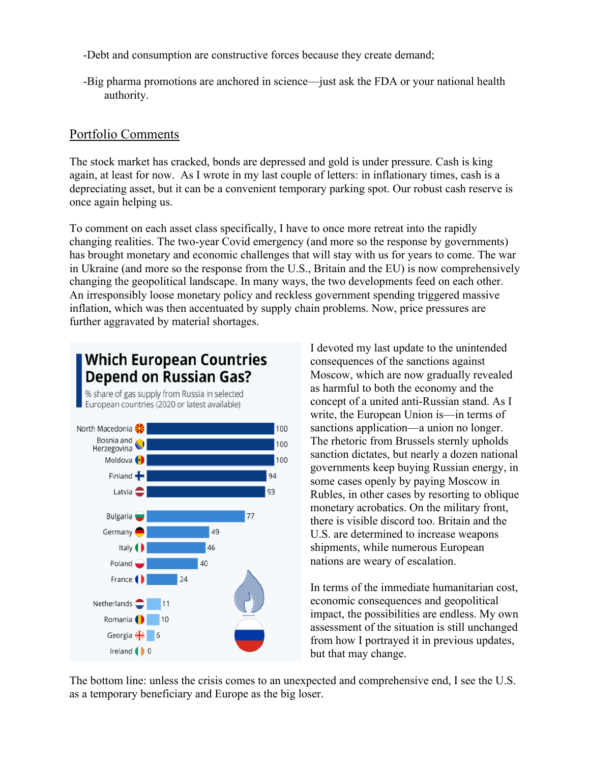-Debt and consumption are constructive forces because they create demand;

-Big pharma promotions are anchored in science—just ask the FDA or your national health authority.

# Portfolio Comments

The stock market has cracked, bonds are depressed and gold is under pressure. Cash is king again, at least for now. As I wrote in my last couple of letters: in inflationary times, cash is a depreciating asset, but it can be a convenient temporary parking spot. Our robust cash reserve is once again helping us.

To comment on each asset class specifically, I have to once more retreat into the rapidly changing realities. The two-year Covid emergency (and more so the response by governments) has brought monetary and economic challenges that will stay with us for years to come. The war in Ukraine (and more so the response from the U.S., Britain and the EU) is now comprehensively changing the geopolitical landscape. In many ways, the two developments feed on each other. An irresponsibly loose monetary policy and reckless government spending triggered massive inflation, which was then accentuated by supply chain problems. Now, price pressures are further aggravated by material shortages.



**Which European Countries** 

I devoted my last update to the unintended consequences of the sanctions against Moscow, which are now gradually revealed as harmful to both the economy and the concept of a united anti-Russian stand. As I write, the European Union is—in terms of sanctions application—a union no longer. The rhetoric from Brussels sternly upholds sanction dictates, but nearly a dozen national governments keep buying Russian energy, in some cases openly by paying Moscow in Rubles, in other cases by resorting to oblique monetary acrobatics. On the military front, there is visible discord too. Britain and the U.S. are determined to increase weapons shipments, while numerous European nations are weary of escalation.

In terms of the immediate humanitarian cost, economic consequences and geopolitical impact, the possibilities are endless. My own assessment of the situation is still unchanged from how I portrayed it in previous updates, but that may change.

The bottom line: unless the crisis comes to an unexpected and comprehensive end, I see the U.S. as a temporary beneficiary and Europe as the big loser.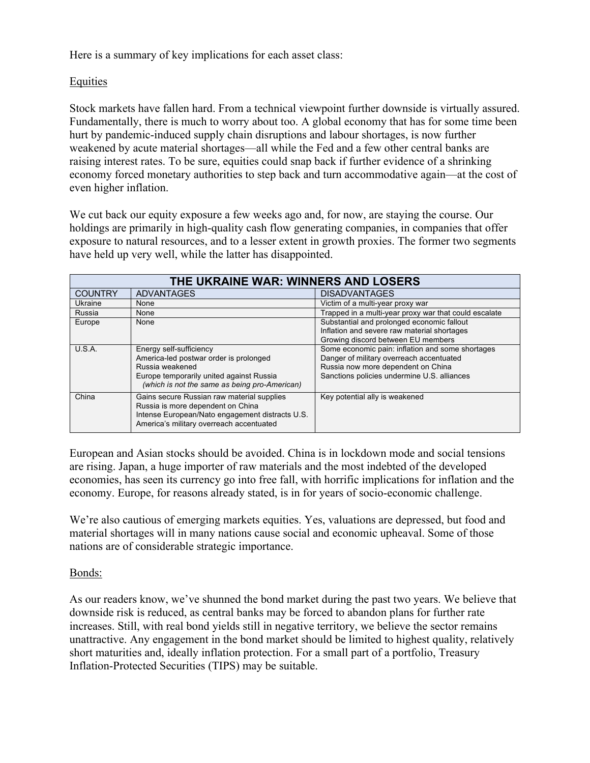Here is a summary of key implications for each asset class:

### Equities

Stock markets have fallen hard. From a technical viewpoint further downside is virtually assured. Fundamentally, there is much to worry about too. A global economy that has for some time been hurt by pandemic-induced supply chain disruptions and labour shortages, is now further weakened by acute material shortages—all while the Fed and a few other central banks are raising interest rates. To be sure, equities could snap back if further evidence of a shrinking economy forced monetary authorities to step back and turn accommodative again—at the cost of even higher inflation.

We cut back our equity exposure a few weeks ago and, for now, are staying the course. Our holdings are primarily in high-quality cash flow generating companies, in companies that offer exposure to natural resources, and to a lesser extent in growth proxies. The former two segments have held up very well, while the latter has disappointed.

| THE UKRAINE WAR: WINNERS AND LOSERS |                                                                                                                                                                                |                                                       |
|-------------------------------------|--------------------------------------------------------------------------------------------------------------------------------------------------------------------------------|-------------------------------------------------------|
| <b>COUNTRY</b>                      | <b>ADVANTAGES</b>                                                                                                                                                              | <b>DISADVANTAGES</b>                                  |
| Ukraine                             | None                                                                                                                                                                           | Victim of a multi-year proxy war                      |
| Russia                              | None                                                                                                                                                                           | Trapped in a multi-year proxy war that could escalate |
| Europe                              | None                                                                                                                                                                           | Substantial and prolonged economic fallout            |
|                                     |                                                                                                                                                                                | Inflation and severe raw material shortages           |
|                                     |                                                                                                                                                                                | Growing discord between EU members                    |
| U.S.A.                              | Energy self-sufficiency                                                                                                                                                        | Some economic pain: inflation and some shortages      |
|                                     | America-led postwar order is prolonged                                                                                                                                         | Danger of military overreach accentuated              |
|                                     | Russia weakened                                                                                                                                                                | Russia now more dependent on China                    |
|                                     | Europe temporarily united against Russia                                                                                                                                       | Sanctions policies undermine U.S. alliances           |
|                                     | (which is not the same as being pro-American)                                                                                                                                  |                                                       |
| China                               | Gains secure Russian raw material supplies<br>Russia is more dependent on China<br>Intense European/Nato engagement distracts U.S.<br>America's military overreach accentuated | Key potential ally is weakened                        |

European and Asian stocks should be avoided. China is in lockdown mode and social tensions are rising. Japan, a huge importer of raw materials and the most indebted of the developed economies, has seen its currency go into free fall, with horrific implications for inflation and the economy. Europe, for reasons already stated, is in for years of socio-economic challenge.

We're also cautious of emerging markets equities. Yes, valuations are depressed, but food and material shortages will in many nations cause social and economic upheaval. Some of those nations are of considerable strategic importance.

Bonds:

As our readers know, we've shunned the bond market during the past two years. We believe that downside risk is reduced, as central banks may be forced to abandon plans for further rate increases. Still, with real bond yields still in negative territory, we believe the sector remains unattractive. Any engagement in the bond market should be limited to highest quality, relatively short maturities and, ideally inflation protection. For a small part of a portfolio, Treasury Inflation-Protected Securities (TIPS) may be suitable.